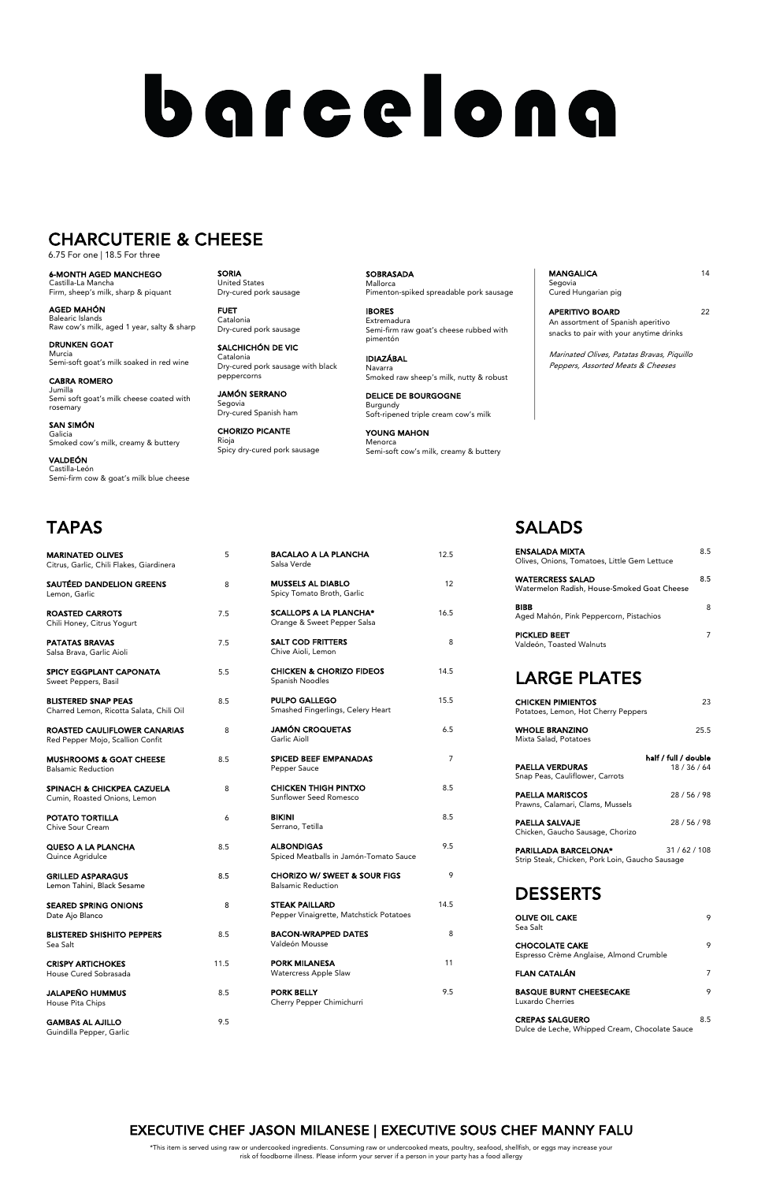Salsa Verde

| <b>MUSSELS AL DIABLO</b><br>Spicy Tomato Broth, Garlic       | 12   |  |
|--------------------------------------------------------------|------|--|
| <b>SCALLOPS A LA PLANCHA*</b><br>Orange & Sweet Pepper Salsa | 16.5 |  |
| <b>SALT COD FRITTERS</b><br>Chive Aioli, Lemon               | 8    |  |
| <b>CHICKEN &amp; CHORIZO FIDEOS</b><br>Spanish Noodles       | 14.5 |  |
| <b>PULPO GALLEGO</b><br>Smashed Fingerlings, Celery Heart    | 15.5 |  |
| <b>JAMÓN CROQUETAS</b><br>Garlic Aioll                       | 6.5  |  |
| <b>SPICED BEEF EMPANADAS</b><br>Pepper Sauce                 | 7    |  |
| <b>CHICKEN THIGH PINTXO</b><br>Sunflower Seed Romesco        | 8.5  |  |
| <b>BIKINI</b><br>Serrano, Tetilla                            | 8.5  |  |
| <b>ALBONDIGAS</b>                                            | 9.5  |  |

BACALAO A LA PLANCHA 12.5

Spiced Meatballs in Jamón-Tomato Sauce

| <b>MARINATED OLIVES</b><br>Citrus, Garlic, Chili Flakes, Giardinera     | 5   |
|-------------------------------------------------------------------------|-----|
| <b>SAUTÉED DANDELION GREENS</b><br>Lemon, Garlic                        | 8   |
| <b>ROASTED CARROTS</b><br>Chili Honey, Citrus Yogurt                    | 7.5 |
| <b>PATATAS BRAVAS</b><br>Salsa Brava, Garlic Aioli                      | 7.5 |
| <b>SPICY EGGPLANT CAPONATA</b><br>Sweet Peppers, Basil                  | 5.5 |
| <b>BLISTERED SNAP PEAS</b><br>Charred Lemon, Ricotta Salata, Chili Oil  | 8.5 |
| <b>ROASTED CAULIFLOWER CANARIAS</b><br>Red Pepper Mojo, Scallion Confit | 8   |
| <b>MUSHROOMS &amp; GOAT CHEESE</b><br><b>Balsamic Reduction</b>         | 8.5 |
| <b>SPINACH &amp; CHICKPEA CAZUELA</b><br>Cumin, Roasted Onions, Lemon   | 8   |
| POTATO TORTILLA<br>Chive Sour Cream                                     | 6   |
| <b>QUESO A LA PLANCHA</b><br>Quince Agridulce                           | 8.5 |

**PARILLADA BARCELONA\*** 31 / 62 / 108 Strip Steak, Chicken, Pork Loin, Gaucho Sausage

**SOBRASADA** Mallorca Pimenton-spiked spreadable pork sausage

| <b>GRILLED ASPARAGUS</b><br>Lemon Tahini, Black Sesame | 8.5  | <b>CHORIZO W/ SWEET &amp; SOUR FIGS</b><br><b>Balsamic Reduction</b> | 9    | <b>DESSERTS</b>                                |     |
|--------------------------------------------------------|------|----------------------------------------------------------------------|------|------------------------------------------------|-----|
| <b>SEARED SPRING ONIONS</b>                            | 8    | <b>STEAK PAILLARD</b>                                                | 14.5 |                                                |     |
| Date Ajo Blanco                                        |      | Pepper Vinaigrette, Matchstick Potatoes                              |      | <b>OLIVE OIL CAKE</b>                          | Q   |
| <b>BLISTERED SHISHITO PEPPERS</b>                      | 8.5  | <b>BACON-WRAPPED DATES</b>                                           | 8    | Sea Salt                                       |     |
| Sea Salt                                               |      | Valdeón Mousse                                                       |      | <b>CHOCOLATE CAKE</b>                          | 9   |
| <b>CRISPY ARTICHOKES</b>                               | 11.5 | <b>PORK MILANESA</b>                                                 | 11   | Espresso Crème Anglaise, Almond Crumble        |     |
| House Cured Sobrasada                                  |      | <b>Watercress Apple Slaw</b>                                         |      | <b>FLAN CATALÁN</b>                            |     |
| <b>JALAPEÑO HUMMUS</b>                                 | 8.5  | <b>PORK BELLY</b>                                                    | 9.5  | <b>BASQUE BURNT CHEESECAKE</b>                 | 9   |
| House Pita Chips                                       |      | Cherry Pepper Chimichurri                                            |      | Luxardo Cherries                               |     |
| <b>GAMBAS AL AJILLO</b>                                | 9.5  |                                                                      |      | <b>CREPAS SALGUERO</b>                         | 8.5 |
| Guindilla Pepper, Garlic                               |      |                                                                      |      | Dulce de Leche, Whipped Cream, Chocolate Sauce |     |

MANGALICA 14 Segovia Cured Hungarian pig

# SALADS

APERITIVO BOARD 22 An assortment of Spanish aperitivo snacks to pair with your anytime drinks

| <b>ENSALADA MIXTA</b><br>Olives, Onions, Tomatoes, Little Gem Lettuce  | 8.5                  |
|------------------------------------------------------------------------|----------------------|
| <b>WATERCRESS SALAD</b><br>Watermelon Radish, House-Smoked Goat Cheese | 8.5                  |
| <b>BIBB</b><br>Aged Mahón, Pink Peppercorn, Pistachios                 | 8                    |
| <b>PICKLED BEET</b><br>Valdeón, Toasted Walnuts                        | 7                    |
| <b>LARGE PLATES</b>                                                    |                      |
| <b>CHICKEN PIMIENTOS</b><br>Potatoes, Lemon, Hot Cherry Peppers        | 23                   |
| <b>WHOLE BRANZINO</b><br>Mixta Salad, Potatoes                         | 25.5                 |
|                                                                        | half / full / double |
| <b>PAELLA VERDURAS</b><br>Snap Peas, Cauliflower, Carrots              | 18/36/64             |
| <b>PAELLA MARISCOS</b><br>Prawns, Calamari, Clams, Mussels             | 28/56/98             |
| PAELLA SALVAJE                                                         | 28 / 56 / 98         |

Chicken, Gaucho Sausage, Chorizo

SORIA United States Dry-cured pork sausage

FUET Catalonia Dry-cured pork sausage

SALCHICHÓN DE VIC Catalonia Dry-cured pork sausage with black peppercorns

JAMÓN SERRANO Segovia Dry-cured Spanish ham

CHORIZO PICANTE Rioja Spicy dry-cured pork sausage

IBORES Extremadura Semi-firm raw goat's cheese rubbed with pimentón

IDIAZÁBAL Navarra Smoked raw sheep's milk, nutty & robust

DELICE DE BOURGOGNE Burgundy Soft-ripened triple cream cow's milk

YOUNG MAHON Menorca Semi-soft cow's milk, creamy & buttery Marinated Olives, Patatas Bravas, Piquillo Peppers, Assorted Meats & Cheeses

6-MONTH AGED MANCHEGO Castilla-La Mancha Firm, sheep's milk, sharp & piquant

AGED MAHÓN Balearic Islands Raw cow's milk, aged 1 year, salty & sharp

DRUNKEN GOAT Murcia Semi-soft goat's milk soaked in red wine

CABRA ROMERO Jumilla Semi soft goat's milk cheese coated with rosemary

SAN SIMÓN Galicia Smoked cow's milk, creamy & buttery

VALDEÓN Castilla-León Semi-firm cow & goat's milk blue cheese

# barcelona

# CHARCUTERIE & CHEESE

6.75 For one | 18.5 For three

\*This item is served using raw or undercooked ingredients. Consuming raw or undercooked meats, poultry, seafood, shellfish, or eggs may increase your risk of foodborne illness. Please inform your server if a person in your party has a food allergy

## EXECUTIVE CHEF JASON MILANESE | EXECUTIVE SOUS CHEF MANNY FALU

# TAPAS